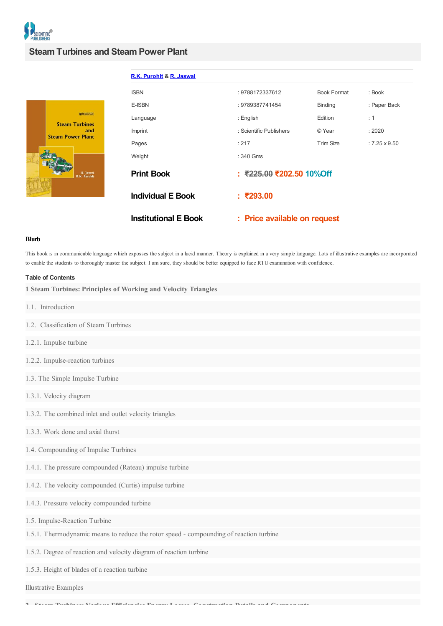

## **Steam Turbines and Steam Power Plant**



| R.K. Purohit & R. Jaswal    |                              |                    |                      |
|-----------------------------|------------------------------|--------------------|----------------------|
| <b>ISBN</b>                 | : 9788172337612              | <b>Book Format</b> | : Book               |
| E-ISBN                      | : 9789387741454              | <b>Binding</b>     | : Paper Back         |
| Language                    | : English                    | Edition            | : 1                  |
| <b>Imprint</b>              | : Scientific Publishers      | © Year             | :2020                |
| Pages                       | : 217                        | <b>Trim Size</b>   | $: 7.25 \times 9.50$ |
| Weight                      | $: 340$ Gms                  |                    |                      |
| <b>Print Book</b>           | : ₹225.00 ₹202.50 10%Off     |                    |                      |
| <b>Individual E Book</b>    | : ₹293.00                    |                    |                      |
| <b>Institutional E Book</b> | : Price available on request |                    |                      |

## **Blurb**

This book is in communicable language which exposses the subject in a lucid manner. Theory is explained in a very simple language. Lots of illustrative examples are incorporated to enable the students to thoroughly master the subject. I am sure, they should be better equipped to face RTU examination with confidence.

## **Table of Contents**

**1 Steam Turbines: Principles of Working and Velocity Triangles**

- 1.1. Introduction
- 1.2. Classification of Steam Turbines
- 1.2.1. Impulse turbine
- 1.2.2. Impulse-reaction turbines
- 1.3. The Simple Impulse Turbine
- 1.3.1. Velocity diagram
- 1.3.2. The combined inlet and outlet velocity triangles
- 1.3.3. Work done and axial thurst
- 1.4. Compounding of Impulse Turbines
- 1.4.1. The pressure compounded (Rateau) impulse turbine
- 1.4.2. The velocity compounded (Curtis) impulse turbine
- 1.4.3. Pressure velocity compounded turbine
- 1.5. Impulse-Reaction Turbine
- 1.5.1. Thermodynamic means to reduce the rotor speed compounding of reaction turbine
- 1.5.2. Degree of reaction and velocity diagram of reaction turbine
- 1.5.3. Height of blades of a reaction turbine

Illustrative Examples

**2. Steam Turbines: Various Efficiencies Energy Losses, Construction Details and Components**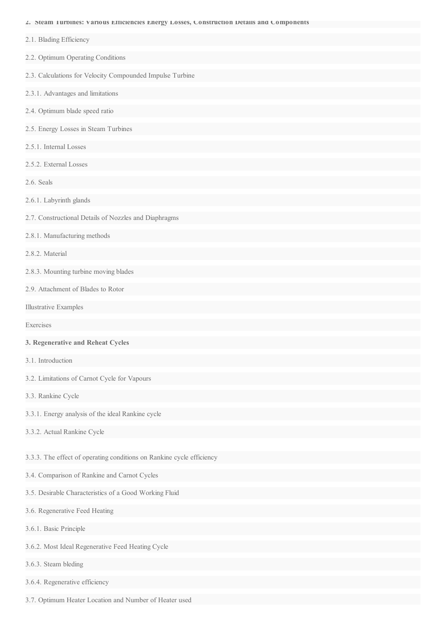**2. Steam Turbines: Various Efficiencies Energy Losses, Construction Details and Components**

| 2.1. Blading Efficiency                                               |
|-----------------------------------------------------------------------|
| 2.2. Optimum Operating Conditions                                     |
| 2.3. Calculations for Velocity Compounded Impulse Turbine             |
| 2.3.1. Advantages and limitations                                     |
| 2.4. Optimum blade speed ratio                                        |
| 2.5. Energy Losses in Steam Turbines                                  |
| 2.5.1. Internal Losses                                                |
| 2.5.2. External Losses                                                |
| 2.6. Seals                                                            |
| 2.6.1. Labyrinth glands                                               |
| 2.7. Constructional Details of Nozzles and Diaphragms                 |
| 2.8.1. Manufacturing methods                                          |
| 2.8.2. Material                                                       |
| 2.8.3. Mounting turbine moving blades                                 |
| 2.9. Attachment of Blades to Rotor                                    |
| <b>Illustrative Examples</b>                                          |
| Exercises                                                             |
| 3. Regenerative and Reheat Cycles                                     |
| 3.1. Introduction                                                     |
| 3.2. Limitations of Carnot Cycle for Vapours                          |
| 3.3. Rankine Cycle                                                    |
| 3.3.1. Energy analysis of the ideal Rankine cycle                     |
| 3.3.2. Actual Rankine Cycle                                           |
| 3.3.3. The effect of operating conditions on Rankine cycle efficiency |
| 3.4. Comparison of Rankine and Carnot Cycles                          |
| 3.5. Desirable Characteristics of a Good Working Fluid                |
| 3.6. Regenerative Feed Heating                                        |
| 3.6.1. Basic Principle                                                |
| 3.6.2. Most Ideal Regenerative Feed Heating Cycle                     |
| 3.6.3. Steam bleding                                                  |
| 3.6.4. Regenerative efficiency                                        |

3.7. Optimum Heater Location and Number of Heater used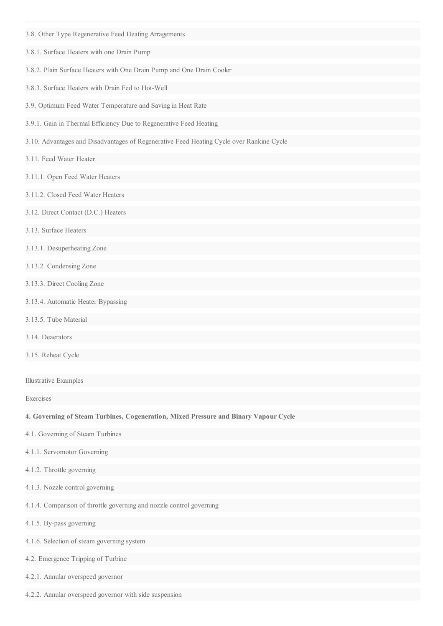- 3.8. Other Type Regenerative Feed Heating Arragements
- 3.8.1. Surface Heaters with one Drain Pump
- 3.8.2. Plain Surface Heaters with One Drain Pump and One Drain Cooler
- 3.8.3. Surface Heaters with Drain Fed to Hot-Well
- 3.9. Optimum Feed Water Temperature and Saving in Heat Rate
- 3.9.1. Gain in Thermal Efficiency Due to Regenerative Feed Heating
- 3.10. Advantages and Disadvantages of Regenerative Feed Heating Cycle over Rankine Cycle
- 3.11. Feed Water Heater
- 3.11.1. Open Feed Water Heaters
- 3.11.2. Closed Feed Water Heaters
- 3.12. Direct Contact (D.C.) Heaters
- 3.13. Surface Heaters
- 3.13.1. Desuperheating Zone
- 3.13.2. Condensing Zone
- 3.13.3. Direct Cooling Zone
- 3.13.4. Automatic Heater Bypassing
- 3.13.5. Tube Material
- 3.14. Deaerators
- 3.15. Reheat Cycle

Illustrative Examples

Exercises

**4. Governing of Steam Turbines, Cogeneration, Mixed Pressure and Binary Vapour Cycle**

- 4.1. Governing of Steam Turbines
- 4.1.1. Servomotor Governing
- 4.1.2. Throttle governing
- 4.1.3. Nozzle control governing
- 4.1.4. Comparison of throttle governing and nozzle control governing
- 4.1.5. By-pass governing
- 4.1.6. Selection of steam governing system
- 4.2. Emergence Tripping of Turbine
- 4.2.1. Annular overspeed governor
- 4.2.2. Annular overspeed governor with side suspension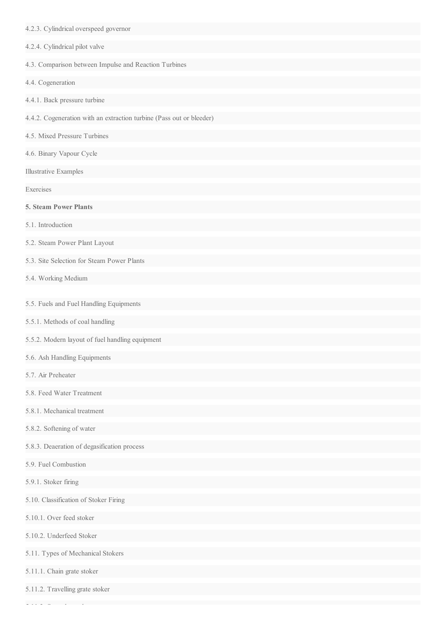- 4.2.3. Cylindrical overspeed governor
- 4.2.4. Cylindrical pilot valve
- 4.3. Comparison between Impulse and Reaction Turbines
- 4.4. Cogeneration
- 4.4.1. Back pressure turbine
- 4.4.2. Cogeneration with an extraction turbine (Pass out or bleeder)
- 4.5. Mixed Pressure Turbines
- 4.6. Binary Vapour Cycle
- Illustrative Examples
- Exercises
- **5. Steam Power Plants**
- 5.1. Introduction
- 5.2. Steam Power Plant Layout
- 5.3. Site Selection for Steam Power Plants
- 5.4. Working Medium
- 5.5. Fuels and Fuel Handling Equipments
- 5.5.1. Methods of coal handling
- 5.5.2. Modern layout of fuel handling equipment
- 5.6. Ash Handling Equipments
- 5.7. Air Preheater
- 5.8. Feed Water Treatment
- 5.8.1. Mechanical treatment
- 5.8.2. Softening of water
- 5.8.3. Deaeration of degasification process
- 5.9. Fuel Combustion
- 5.9.1. Stoker firing
- 5.10. Classification of Stoker Firing
- 5.10.1. Over feed stoker
- 5.10.2. Underfeed Stoker
- 5.11. Types of Mechanical Stokers
- 5.11.1. Chain grate stoker

5.11.3. Spreader stoker

5.11.2. Travelling grate stoker